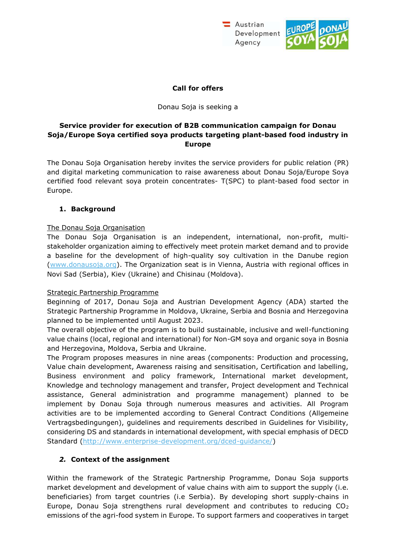



### **Call for offers**

Donau Soja is seeking a

### **Service provider for execution of B2B communication campaign for Donau Soja/Europe Soya certified soya products targeting plant-based food industry in Europe**

The Donau Soja Organisation hereby invites the service providers for public relation (PR) and digital marketing communication to raise awareness about Donau Soja/Europe Soya certified food relevant soya protein concentrates- T(SPC) to plant-based food sector in Europe.

## **1. Background**

## The Donau Soja Organisation

The Donau Soja Organisation is an independent, international, non-profit, multistakeholder organization aiming to effectively meet protein market demand and to provide a baseline for the development of high-quality soy cultivation in the Danube region [\(www.donausoja.org\)](http://www.donausoja.org/). The Organization seat is in Vienna, Austria with regional offices in Novi Sad (Serbia), Kiev (Ukraine) and Chisinau (Moldova).

### Strategic Partnership Programme

Beginning of 2017, Donau Soja and Austrian Development Agency (ADA) started the Strategic Partnership Programme in Moldova, Ukraine, Serbia and Bosnia and Herzegovina planned to be implemented until August 2023.

The overall objective of the program is to build sustainable, inclusive and well-functioning value chains (local, regional and international) for Non-GM soya and organic soya in Bosnia and Herzegovina, Moldova, Serbia and Ukraine.

The Program proposes measures in nine areas (components: Production and processing, Value chain development, Awareness raising and sensitisation, Certification and labelling, Business environment and policy framework, International market development, Knowledge and technology management and transfer, Project development and Technical assistance, General administration and programme management) planned to be implement by Donau Soja through numerous measures and activities. All Program activities are to be implemented according to General Contract Conditions (Allgemeine Vertragsbedingungen), guidelines and requirements described in Guidelines for Visibility, considering DS and standards in international development, with special emphasis of DECD Standard [\(http://www.enterprise-development.org/dced-guidance/\)](http://www.enterprise-development.org/dced-guidance/)

### *2.* **Context of the assignment**

Within the framework of the Strategic Partnership Programme, Donau Soja supports market development and development of value chains with aim to support the supply (i.e. beneficiaries) from target countries (i.e Serbia). By developing short supply-chains in Europe, Donau Soja strengthens rural development and contributes to reducing  $CO<sub>2</sub>$ emissions of the agri-food system in Europe. To support farmers and cooperatives in target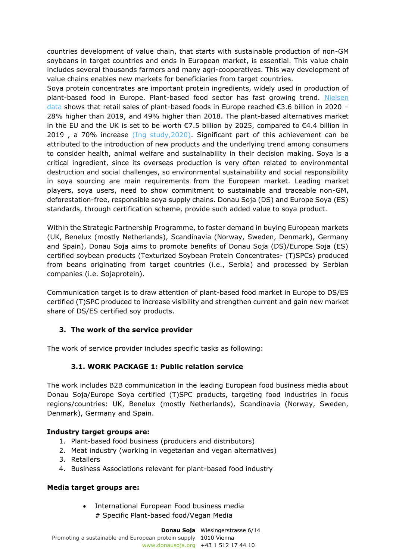countries development of value chain, that starts with sustainable production of non-GM soybeans in target countries and ends in European market, is essential. This value chain includes several thousands farmers and many agri-cooperatives. This way development of value chains enables new markets for beneficiaries from target countries.

Soya protein concentrates are important protein ingredients, widely used in production of plant-based food in Europe. Plant-based food sector has fast growing trend. Nielsen [data](https://drive.google.com/file/d/12_123CqnRLtRqfvcGxTkv7Yp7sdvjL7K/view?usp=sharing) shows that retail sales of plant-based foods in Europe reached €3.6 billion in 2020 – 28% higher than 2019, and 49% higher than 2018. The plant-based alternatives market in the EU and the UK is set to be worth €7.5 billion by 2025, compared to €4.4 billion in 2019 , a 70% increase [\(Ing study,2020\).](https://think.ing.com/uploads/reports/ING_report_-_Growth_of_meat_and_dairy_alternatives_is_stirring_up_the_European_food_industry.pdf) Significant part of this achievement can be attributed to the introduction of new products and the underlying trend among consumers to consider health, animal welfare and sustainability in their decision making. Soya is a critical ingredient, since its overseas production is very often related to environmental destruction and social challenges, so environmental sustainability and social responsibility in soya sourcing are main requirements from the European market. Leading market players, soya users, need to show commitment to sustainable and traceable non-GM, deforestation-free, responsible soya supply chains. Donau Soja (DS) and Europe Soya (ES) standards, through certification scheme, provide such added value to soya product.

Within the Strategic Partnership Programme, to foster demand in buying European markets (UK, Benelux (mostly Netherlands), Scandinavia (Norway, Sweden, Denmark), Germany and Spain), Donau Soja aims to promote benefits of Donau Soja (DS)/Europe Soja (ES) certified soybean products (Texturized Soybean Protein Concentrates- (T)SPCs) produced from beans originating from target countries (i.e., Serbia) and processed by Serbian companies (i.e. Sojaprotein).

Communication target is to draw attention of plant-based food market in Europe to DS/ES certified (T)SPC produced to increase visibility and strengthen current and gain new market share of DS/ES certified soy products.

## **3. The work of the service provider**

The work of service provider includes specific tasks as following:

### **3.1. WORK PACKAGE 1: Public relation service**

The work includes B2B communication in the leading European food business media about Donau Soja/Europe Soya certified (T)SPC products, targeting food industries in focus regions/countries: UK, Benelux (mostly Netherlands), Scandinavia (Norway, Sweden, Denmark), Germany and Spain.

### **Industry target groups are:**

- 1. Plant-based food business (producers and distributors)
- 2. Meat industry (working in vegetarian and vegan alternatives)
- 3. Retailers
- 4. Business Associations relevant for plant-based food industry

### **Media target groups are:**

• International European Food business media # Specific Plant-based food/Vegan Media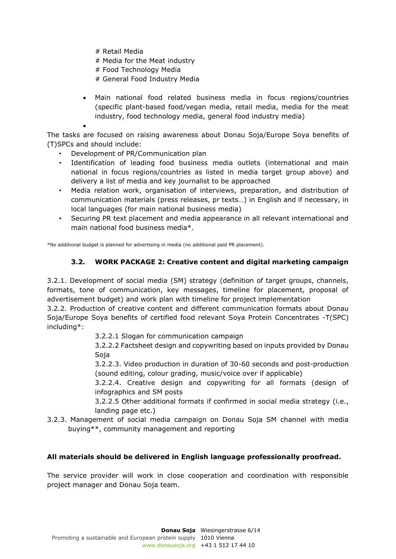- # Retail Media
- # Media for the Meat industry
- # Food Technology Media
- # General Food Industry Media
- Main national food related business media in focus regions/countries (specific plant-based food/vegan media, retail media, media for the meat industry, food technology media, general food industry media)

•

The tasks are focused on raising awareness about Donau Soja/Europe Soya benefits of (T)SPCs and should include:

- Development of PR/Communication plan
- Identification of leading food business media outlets (international and main national in focus regions/countries as listed in media target group above) and delivery a list of media and key journalist to be approached
- Media relation work, organisation of interviews, preparation, and distribution of communication materials (press releases, pr texts…) in English and if necessary, in local languages (for main national business media)
- Securing PR text placement and media appearance in all relevant international and main national food business media\*.

\*No additional budget is planned for advertising in media (no additional paid PR placement).

# **3.2. WORK PACKAGE 2: Creative content and digital marketing campaign**

3.2.1. Development of social media (SM) strategy (definition of target groups, channels, formats, tone of communication, key messages, timeline for placement, proposal of advertisement budget) and work plan with timeline for project implementation

3.2.2. Production of creative content and different communication formats about Donau Soja/Europe Soya benefits of certified food relevant Soya Protein Concentrates -T(SPC) including\*:

3.2.2.1 Slogan for communication campaign

3.2.2.2 Factsheet design and copywriting based on inputs provided by Donau Soja

3.2.2.3. Video production in duration of 30-60 seconds and post-production (sound editing, colour grading, music/voice over if applicable)

3.2.2.4. Creative design and copywriting for all formats (design of infographics and SM posts

3.2.2.5 Other additional formats if confirmed in social media strategy (i.e., landing page etc.)

3.2.3. Management of social media campaign on Donau Soja SM channel with media buying\*\*, community management and reporting

### **All materials should be delivered in English language professionally proofread.**

The service provider will work in close cooperation and coordination with responsible project manager and Donau Soja team.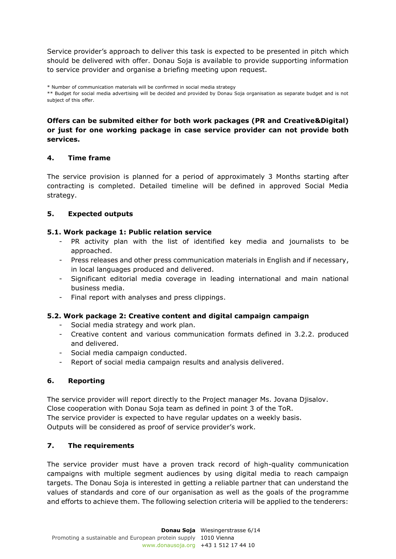Service provider's approach to deliver this task is expected to be presented in pitch which should be delivered with offer. Donau Soja is available to provide supporting information to service provider and organise a briefing meeting upon request.

\* Number of communication materials will be confirmed in social media strategy \*\* Budget for social media advertising will be decided and provided by Donau Soja organisation as separate budget and is not subject of this offer.

### **Offers can be submited either for both work packages (PR and Creative&Digital) or just for one working package in case service provider can not provide both services.**

## **4. Time frame**

The service provision is planned for a period of approximately 3 Months starting after contracting is completed. Detailed timeline will be defined in approved Social Media strategy.

## **5. Expected outputs**

### **5.1. Work package 1: Public relation service**

- PR activity plan with the list of identified key media and journalists to be approached.
- Press releases and other press communication materials in English and if necessary, in local languages produced and delivered.
- Significant editorial media coverage in leading international and main national business media.
- Final report with analyses and press clippings.

### **5.2. Work package 2: Creative content and digital campaign campaign**

- Social media strategy and work plan.
- Creative content and various communication formats defined in 3.2.2. produced and delivered.
- Social media campaign conducted.
- Report of social media campaign results and analysis delivered.

### **6. Reporting**

The service provider will report directly to the Project manager Ms. Jovana Djisalov. Close cooperation with Donau Soja team as defined in point 3 of the ToR. The service provider is expected to have regular updates on a weekly basis. Outputs will be considered as proof of service provider's work.

### **7. The requirements**

The service provider must have a proven track record of high-quality communication campaigns with multiple segment audiences by using digital media to reach campaign targets. The Donau Soja is interested in getting a reliable partner that can understand the values of standards and core of our organisation as well as the goals of the programme and efforts to achieve them. The following selection criteria will be applied to the tenderers: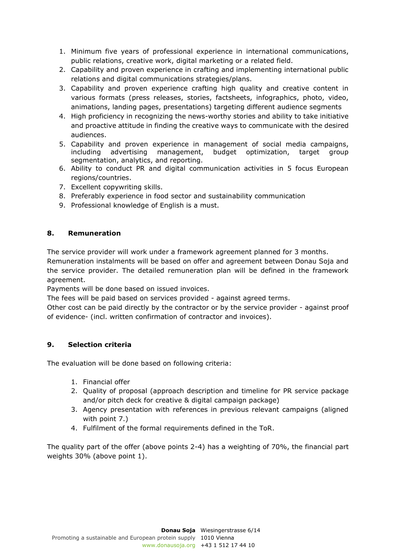- 1. Minimum five years of professional experience in international communications, public relations, creative work, digital marketing or a related field.
- 2. Capability and proven experience in crafting and implementing international public relations and digital communications strategies/plans.
- 3. Capability and proven experience crafting high quality and creative content in various formats (press releases, stories, factsheets, infographics, photo, video, animations, landing pages, presentations) targeting different audience segments
- 4. High proficiency in recognizing the news-worthy stories and ability to take initiative and proactive attitude in finding the creative ways to communicate with the desired audiences.
- 5. Capability and proven experience in management of social media campaigns, including advertising management, budget optimization, target group segmentation, analytics, and reporting.
- 6. Ability to conduct PR and digital communication activities in 5 focus European regions/countries.
- 7. Excellent copywriting skills.
- 8. Preferably experience in food sector and sustainability communication
- 9. Professional knowledge of English is a must.

## **8. Remuneration**

The service provider will work under a framework agreement planned for 3 months.

Remuneration instalments will be based on offer and agreement between Donau Soja and the service provider. The detailed remuneration plan will be defined in the framework agreement.

Payments will be done based on issued invoices.

The fees will be paid based on services provided - against agreed terms.

Other cost can be paid directly by the contractor or by the service provider - against proof of evidence- (incl. written confirmation of contractor and invoices).

## **9. Selection criteria**

The evaluation will be done based on following criteria:

- 1. Financial offer
- 2. Quality of proposal (approach description and timeline for PR service package and/or pitch deck for creative & digital campaign package)
- 3. Agency presentation with references in previous relevant campaigns (aligned with point 7.)
- 4. Fulfilment of the formal requirements defined in the ToR.

The quality part of the offer (above points 2-4) has a weighting of 70%, the financial part weights 30% (above point 1).